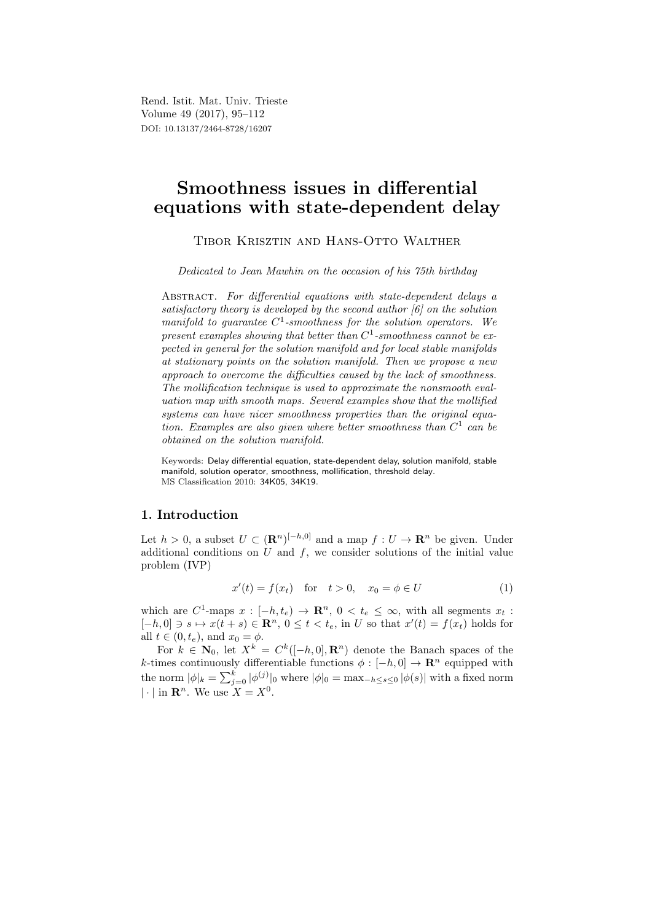Rend. Istit. Mat. Univ. Trieste Volume 49 (2017), 95–112 DOI: 10.13137/2464-8728/16207

# Smoothness issues in differential equations with state-dependent delay

Tibor Krisztin and Hans-Otto Walther

Dedicated to Jean Mawhin on the occasion of his 75th birthday

ABSTRACT. For differential equations with state-dependent delays a satisfactory theory is developed by the second author [6] on the solution manifold to guarantee  $C^1$ -smoothness for the solution operators. We present examples showing that better than  $C^1$ -smoothness cannot be expected in general for the solution manifold and for local stable manifolds at stationary points on the solution manifold. Then we propose a new approach to overcome the difficulties caused by the lack of smoothness. The mollification technique is used to approximate the nonsmooth evaluation map with smooth maps. Several examples show that the mollified systems can have nicer smoothness properties than the original equation. Examples are also given where better smoothness than  $C^1$  can be obtained on the solution manifold.

Keywords: Delay differential equation, state-dependent delay, solution manifold, stable manifold, solution operator, smoothness, mollification, threshold delay. MS Classification 2010: 34K05, 34K19.

# 1. Introduction

Let  $h > 0$ , a subset  $U \subset (\mathbf{R}^n)^{[-h,0]}$  and a map  $f: U \to \mathbf{R}^n$  be given. Under additional conditions on  $U$  and  $f$ , we consider solutions of the initial value problem (IVP)

$$
x'(t) = f(x_t) \quad \text{for} \quad t > 0, \quad x_0 = \phi \in U \tag{1}
$$

which are C<sup>1</sup>-maps  $x: [-h, t_e] \to \mathbb{R}^n$ ,  $0 < t_e \leq \infty$ , with all segments  $x_t$ :  $[-h, 0] \ni s \mapsto x(t+s) \in \mathbb{R}^n$ ,  $0 \le t < t_e$ , in U so that  $x'(t) = f(x_t)$  holds for all  $t \in (0, t_e)$ , and  $x_0 = \phi$ .

For  $k \in \mathbb{N}_0$ , let  $X^k = C^k([-h, 0], \mathbf{R}^n)$  denote the Banach spaces of the k-times continuously differentiable functions  $\phi : [-h, 0] \to \mathbb{R}^n$  equipped with the norm  $|\phi|_k = \sum_{j=0}^k |\phi^{(j)}|_0$  where  $|\phi|_0 = \max_{-h \le s \le 0} |\phi(s)|$  with a fixed norm  $|\cdot|$  in  $\mathbf{R}^n$ . We use  $X = X^0$ .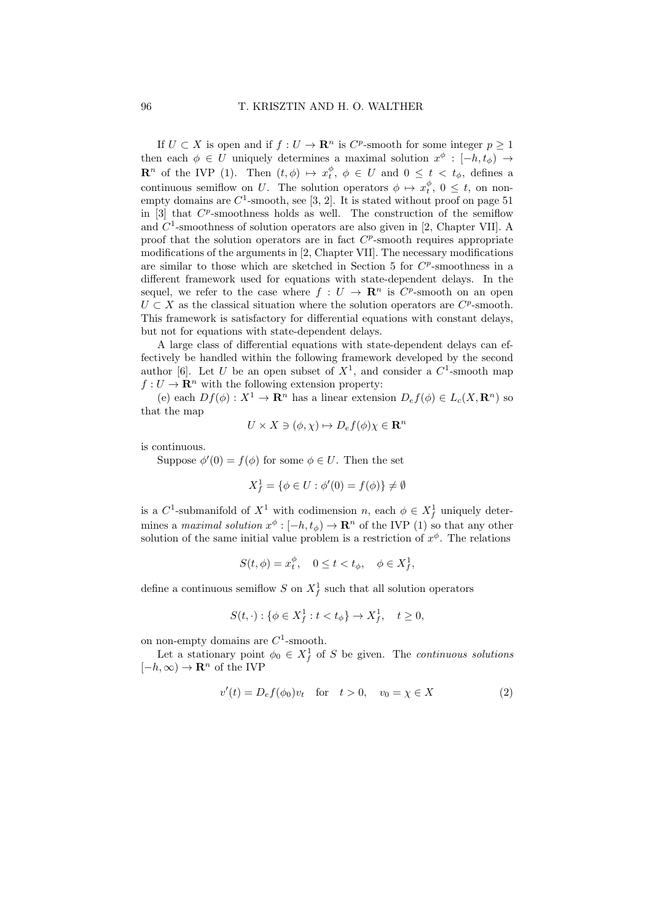If  $U \subset X$  is open and if  $f: U \to \mathbf{R}^n$  is  $C^p$ -smooth for some integer  $p \geq 1$ then each  $\phi \in U$  uniquely determines a maximal solution  $x^{\phi} : [-h, t_{\phi}) \rightarrow$  $\mathbf{R}^n$  of the IVP (1). Then  $(t, \phi) \mapsto x_t^{\phi}, \phi \in U$  and  $0 \leq t \leq t_{\phi}$ , defines a continuous semiflow on U. The solution operators  $\phi \mapsto x_t^{\phi}, 0 \leq t$ , on nonempty domains are  $C^1$ -smooth, see [3, 2]. It is stated without proof on page 51 in  $[3]$  that  $C^p$ -smoothness holds as well. The construction of the semiflow and  $C<sup>1</sup>$ -smoothness of solution operators are also given in [2, Chapter VII]. A proof that the solution operators are in fact  $C^p$ -smooth requires appropriate modifications of the arguments in [2, Chapter VII]. The necessary modifications are similar to those which are sketched in Section 5 for  $C^p$ -smoothness in a different framework used for equations with state-dependent delays. In the sequel, we refer to the case where  $f: U \to \mathbb{R}^n$  is  $C^p$ -smooth on an open  $U \subset X$  as the classical situation where the solution operators are  $C^p$ -smooth. This framework is satisfactory for differential equations with constant delays, but not for equations with state-dependent delays.

A large class of differential equations with state-dependent delays can effectively be handled within the following framework developed by the second author [6]. Let U be an open subset of  $X^1$ , and consider a  $C^1$ -smooth map  $f: U \to \mathbf{R}^n$  with the following extension property:

(e) each  $Df(\phi): X^1 \to \mathbf{R}^n$  has a linear extension  $D_e f(\phi) \in L_c(X, \mathbf{R}^n)$  so that the map

$$
U \times X \ni (\phi, \chi) \mapsto D_e f(\phi) \chi \in \mathbf{R}^n
$$

is continuous.

Suppose  $\phi'(0) = f(\phi)$  for some  $\phi \in U$ . Then the set

$$
X_f^1 = \{ \phi \in U : \phi'(0) = f(\phi) \} \neq \emptyset
$$

is a  $C^1$ -submanifold of  $X^1$  with codimension n, each  $\phi \in X_f^1$  uniquely determines a maximal solution  $x^{\phi}$ :  $[-h, t_{\phi}) \to \mathbb{R}^{n}$  of the IVP (1) so that any other solution of the same initial value problem is a restriction of  $x^{\phi}$ . The relations

$$
S(t, \phi) = x_t^{\phi}, \quad 0 \le t < t_{\phi}, \quad \phi \in X_f^1,
$$

define a continuous semiflow S on  $X_f^1$  such that all solution operators

$$
S(t, \cdot) : \{ \phi \in X_f^1 : t < t_\phi \} \to X_f^1, \quad t \ge 0,
$$

on non-empty domains are  $C^1$ -smooth.

Let a stationary point  $\phi_0 \in X_f^1$  of S be given. The *continuous solutions*  $[-h, \infty) \to \mathbf{R}^n$  of the IVP

$$
v'(t) = D_e f(\phi_0) v_t \quad \text{for} \quad t > 0, \quad v_0 = \chi \in X \tag{2}
$$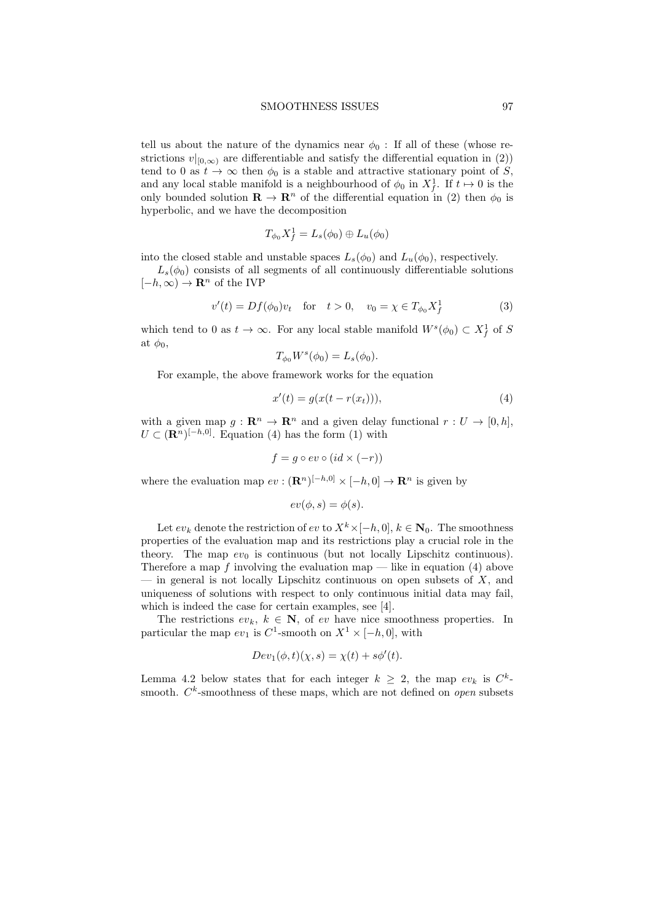tell us about the nature of the dynamics near  $\phi_0$ : If all of these (whose restrictions  $v|_{[0,\infty)}$  are differentiable and satisfy the differential equation in (2)) tend to 0 as  $t \to \infty$  then  $\phi_0$  is a stable and attractive stationary point of S, and any local stable manifold is a neighbourhood of  $\phi_0$  in  $X_f^1$ . If  $t \mapsto 0$  is the only bounded solution  $\mathbf{R} \to \mathbf{R}^n$  of the differential equation in (2) then  $\phi_0$  is hyperbolic, and we have the decomposition

$$
T_{\phi_0}X_f^1 = L_s(\phi_0) \oplus L_u(\phi_0)
$$

into the closed stable and unstable spaces  $L_s(\phi_0)$  and  $L_u(\phi_0)$ , respectively.

 $L_s(\phi_0)$  consists of all segments of all continuously differentiable solutions  $[-h, \infty) \to \mathbf{R}^n$  of the IVP

$$
v'(t) = Df(\phi_0)v_t \text{ for } t > 0, \quad v_0 = \chi \in T_{\phi_0} X_f^1
$$
 (3)

which tend to 0 as  $t \to \infty$ . For any local stable manifold  $W^s(\phi_0) \subset X_f^1$  of S at  $\phi_0$ ,

$$
T_{\phi_0}W^s(\phi_0)=L_s(\phi_0).
$$

For example, the above framework works for the equation

$$
x'(t) = g(x(t - r(x_t))),
$$
\n(4)

with a given map  $g: \mathbb{R}^n \to \mathbb{R}^n$  and a given delay functional  $r: U \to [0, h],$  $U \subset (\mathbf{R}^n)^{[-h,0]}$ . Equation (4) has the form (1) with

$$
f = g \circ ev \circ (id \times (-r))
$$

where the evaluation map  $ev : (\mathbf{R}^n)^{[-h,0]} \times [-h,0] \to \mathbf{R}^n$  is given by

$$
ev(\phi, s) = \phi(s).
$$

Let  $ev_k$  denote the restriction of  $ev$  to  $X^k \times [-h, 0], k \in \mathbb{N}_0$ . The smoothness properties of the evaluation map and its restrictions play a crucial role in the theory. The map  $ev_0$  is continuous (but not locally Lipschitz continuous). Therefore a map f involving the evaluation map — like in equation (4) above — in general is not locally Lipschitz continuous on open subsets of  $X$ , and uniqueness of solutions with respect to only continuous initial data may fail, which is indeed the case for certain examples, see [4].

The restrictions  $ev_k, k \in \mathbb{N}$ , of ev have nice smoothness properties. In particular the map  $ev_1$  is  $C^1$ -smooth on  $X^1 \times [-h, 0]$ , with

$$
Dev_1(\phi, t)(\chi, s) = \chi(t) + s\phi'(t).
$$

Lemma 4.2 below states that for each integer  $k \geq 2$ , the map  $ev_k$  is  $C^k$ smooth.  $C<sup>k</sup>$ -smoothness of these maps, which are not defined on *open* subsets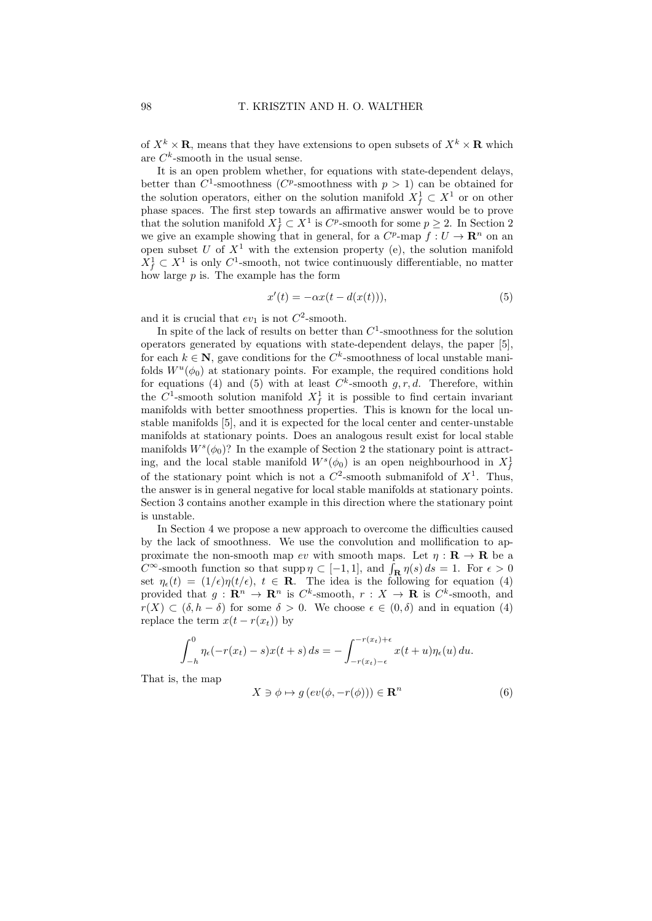of  $X^k \times \mathbf{R}$ , means that they have extensions to open subsets of  $X^k \times \mathbf{R}$  which are  $C^k$ -smooth in the usual sense.

It is an open problem whether, for equations with state-dependent delays, better than  $C^1$ -smoothness ( $C^p$ -smoothness with  $p > 1$ ) can be obtained for the solution operators, either on the solution manifold  $X_f^1 \subset X^1$  or on other phase spaces. The first step towards an affirmative answer would be to prove that the solution manifold  $X_f^1 \subset X^1$  is  $C^p$ -smooth for some  $p \geq 2$ . In Section 2 we give an example showing that in general, for a  $C^p$ -map  $f: U \to \mathbf{R}^n$  on an open subset  $U$  of  $X^1$  with the extension property (e), the solution manifold  $X_f^1 \subset X^1$  is only C<sup>1</sup>-smooth, not twice continuously differentiable, no matter how large  $p$  is. The example has the form

$$
x'(t) = -\alpha x(t - d(x(t))),\tag{5}
$$

and it is crucial that  $ev_1$  is not  $C^2$ -smooth.

In spite of the lack of results on better than  $C^1$ -smoothness for the solution operators generated by equations with state-dependent delays, the paper [5], for each  $k \in \mathbb{N}$ , gave conditions for the  $C^k$ -smoothness of local unstable manifolds  $W^u(\phi_0)$  at stationary points. For example, the required conditions hold for equations (4) and (5) with at least  $C^k$ -smooth  $g, r, d$ . Therefore, within the  $C^1$ -smooth solution manifold  $X_f^1$  it is possible to find certain invariant manifolds with better smoothness properties. This is known for the local unstable manifolds [5], and it is expected for the local center and center-unstable manifolds at stationary points. Does an analogous result exist for local stable manifolds  $W^s(\phi_0)$ ? In the example of Section 2 the stationary point is attracting, and the local stable manifold  $W^s(\phi_0)$  is an open neighbourhood in  $X_f^1$ of the stationary point which is not a  $C^2$ -smooth submanifold of  $X^1$ . Thus, the answer is in general negative for local stable manifolds at stationary points. Section 3 contains another example in this direction where the stationary point is unstable.

In Section 4 we propose a new approach to overcome the difficulties caused by the lack of smoothness. We use the convolution and mollification to approximate the non-smooth map ev with smooth maps. Let  $\eta : \mathbf{R} \to \mathbf{R}$  be a  $C^{\infty}$ -smooth function so that supp  $\eta \subset [-1,1]$ , and  $\int_{\mathbf{R}} \eta(s) ds = 1$ . For  $\epsilon > 0$ set  $\eta_{\epsilon}(t) = (1/\epsilon)\eta(t/\epsilon), t \in \mathbf{R}$ . The idea is the following for equation (4) provided that  $g: \mathbf{R}^n \to \mathbf{R}^n$  is  $C^k$ -smooth,  $r: X \to \mathbf{R}$  is  $C^k$ -smooth, and  $r(X) \subset (\delta, h - \delta)$  for some  $\delta > 0$ . We choose  $\epsilon \in (0, \delta)$  and in equation (4) replace the term  $x(t - r(x_t))$  by

$$
\int_{-h}^{0} \eta_{\epsilon}(-r(x_t) - s)x(t+s) ds = -\int_{-r(x_t)-\epsilon}^{-r(x_t)+\epsilon} x(t+u)\eta_{\epsilon}(u) du.
$$

That is, the map

$$
X \ni \phi \mapsto g\left(ev(\phi, -r(\phi))\right) \in \mathbf{R}^n \tag{6}
$$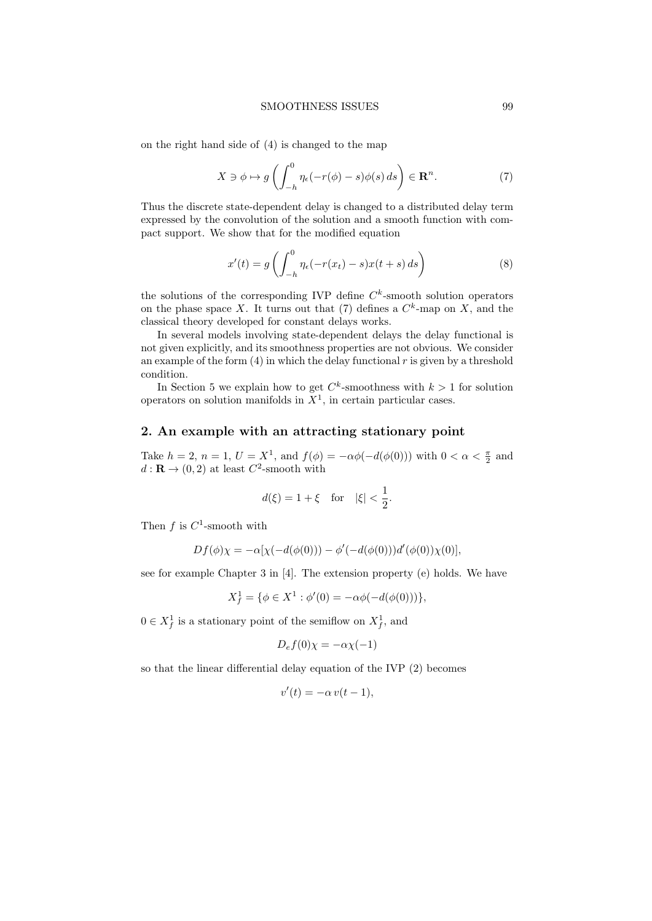on the right hand side of (4) is changed to the map

$$
X \ni \phi \mapsto g\left(\int_{-h}^{0} \eta_{\epsilon}(-r(\phi) - s)\phi(s) ds\right) \in \mathbf{R}^{n}.
$$
 (7)

Thus the discrete state-dependent delay is changed to a distributed delay term expressed by the convolution of the solution and a smooth function with compact support. We show that for the modified equation

$$
x'(t) = g\left(\int_{-h}^{0} \eta_{\epsilon}(-r(x_t) - s)x(t + s) ds\right)
$$
\n(8)

the solutions of the corresponding IVP define  $C<sup>k</sup>$ -smooth solution operators on the phase space X. It turns out that (7) defines a  $C^k$ -map on X, and the classical theory developed for constant delays works.

In several models involving state-dependent delays the delay functional is not given explicitly, and its smoothness properties are not obvious. We consider an example of the form  $(4)$  in which the delay functional r is given by a threshold condition.

In Section 5 we explain how to get  $C^k$ -smoothness with  $k > 1$  for solution operators on solution manifolds in  $X<sup>1</sup>$ , in certain particular cases.

# 2. An example with an attracting stationary point

Take  $h = 2$ ,  $n = 1$ ,  $U = X^1$ , and  $f(\phi) = -\alpha\phi(-d(\phi(0)))$  with  $0 < \alpha < \frac{\pi}{2}$  and  $d: \mathbf{R} \to (0,2)$  at least  $C^2$ -smooth with

$$
d(\xi) = 1 + \xi
$$
 for  $|\xi| < \frac{1}{2}$ .

Then  $f$  is  $C^1$ -smooth with

$$
Df(\phi)\chi = -\alpha[\chi(-d(\phi(0))) - \phi'(-d(\phi(0)))d'(\phi(0))\chi(0)],
$$

see for example Chapter 3 in [4]. The extension property (e) holds. We have

$$
X_f^1 = \{ \phi \in X^1 : \phi'(0) = -\alpha \phi(-d(\phi(0))) \},
$$

 $0 \in X_f^1$  is a stationary point of the semiflow on  $X_f^1$ , and

$$
D_e f(0)\chi = -\alpha \chi(-1)
$$

so that the linear differential delay equation of the IVP (2) becomes

$$
v'(t) = -\alpha v(t-1),
$$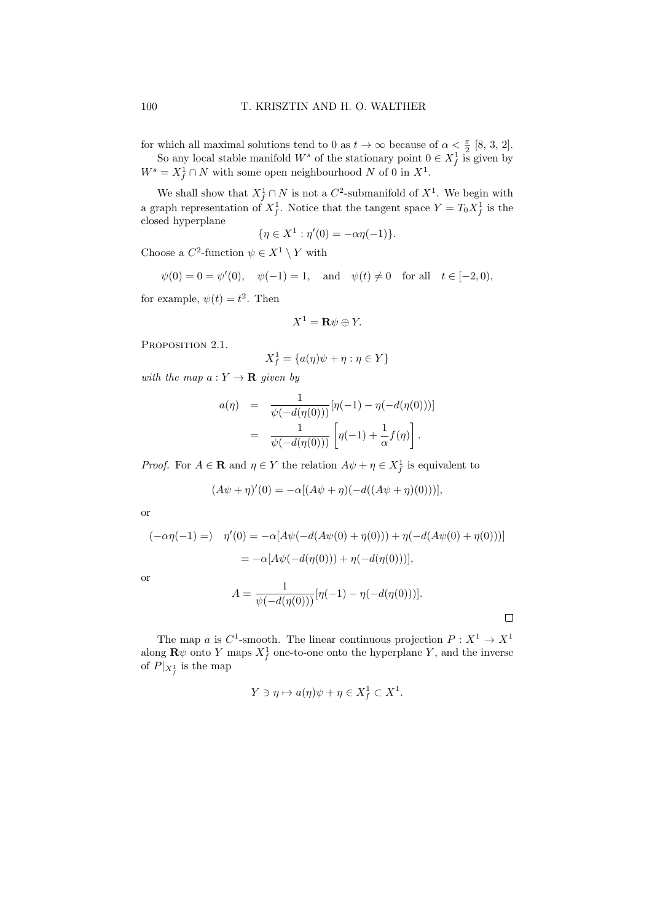for which all maximal solutions tend to 0 as  $t \to \infty$  because of  $\alpha < \frac{\pi}{2}$  [8, 3, 2].

So any local stable manifold  $W^s$  of the stationary point  $0 \in X_f^1$  is given by  $W^s = X_f^1 \cap N$  with some open neighbourhood N of 0 in  $X^1$ .

We shall show that  $X_f^1 \cap N$  is not a  $C^2$ -submanifold of  $X^1$ . We begin with a graph representation of  $X_f^1$ . Notice that the tangent space  $Y = T_0 X_f^1$  is the closed hyperplane

$$
\{\eta \in X^1 : \eta'(0) = -\alpha \eta(-1)\}.
$$

Choose a  $C^2$ -function  $\psi \in X^1 \setminus Y$  with

$$
\psi(0) = 0 = \psi'(0), \quad \psi(-1) = 1, \text{ and } \psi(t) \neq 0 \text{ for all } t \in [-2, 0),
$$

for example,  $\psi(t) = t^2$ . Then

$$
X^1 = \mathbf{R}\psi \oplus Y.
$$

PROPOSITION 2.1.

$$
X_f^1=\{a(\eta)\psi+\eta:\eta\in Y\}
$$

with the map  $a: Y \to \mathbf{R}$  given by

$$
a(\eta) = \frac{1}{\psi(-d(\eta(0)))} [\eta(-1) - \eta(-d(\eta(0)))]
$$
  
= 
$$
\frac{1}{\psi(-d(\eta(0)))} [\eta(-1) + \frac{1}{\alpha} f(\eta)].
$$

*Proof.* For  $A \in \mathbf{R}$  and  $\eta \in Y$  the relation  $A\psi + \eta \in X_f^1$  is equivalent to

$$
(A\psi + \eta)'(0) = -\alpha[(A\psi + \eta)(-d((A\psi + \eta)(0)))],
$$

or

$$
(-\alpha \eta(-1) =) \quad \eta'(0) = -\alpha [A\psi(-d(A\psi(0) + \eta(0))) + \eta(-d(A\psi(0) + \eta(0)))]
$$
  
=  $-\alpha [A\psi(-d(\eta(0))) + \eta(-d(\eta(0)))],$ 

 $\overline{O}$ 

$$
A = \frac{1}{\psi(-d(\eta(0)))} [\eta(-1) - \eta(-d(\eta(0)))].
$$

 $\Box$ 

The map a is  $C^1$ -smooth. The linear continuous projection  $P: X^1 \to X^1$ along  $\mathbf{R}\psi$  onto Y maps  $X_f^1$  one-to-one onto the hyperplane Y, and the inverse of  $P|_{X_f^1}$  is the map

$$
Y \ni \eta \mapsto a(\eta)\psi + \eta \in X_f^1 \subset X^1.
$$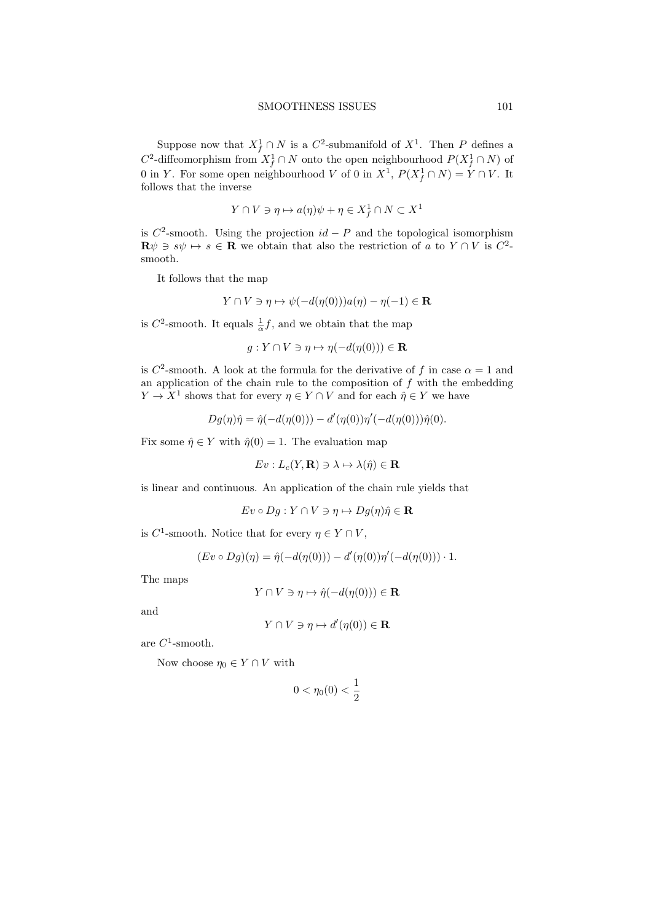Suppose now that  $X_f^1 \cap N$  is a  $C^2$ -submanifold of  $X^1$ . Then P defines a  $C^2$ -diffeomorphism from  $X_f^1 \cap N$  onto the open neighbourhood  $P(X_f^1 \cap N)$  of 0 in Y. For some open neighbourhood V of 0 in  $X^1$ ,  $P(X_f^1 \cap N) = Y \cap V$ . It follows that the inverse

$$
Y \cap V \ni \eta \mapsto a(\eta)\psi + \eta \in X_f^1 \cap N \subset X^1
$$

is  $C^2$ -smooth. Using the projection  $id - P$  and the topological isomorphism  $\mathbf{R}\psi \ni s\psi \mapsto s \in \mathbf{R}$  we obtain that also the restriction of a to  $Y \cap V$  is  $C^2$ . smooth.

It follows that the map

$$
Y \cap V \ni \eta \mapsto \psi(-d(\eta(0)))a(\eta) - \eta(-1) \in \mathbf{R}
$$

is  $C^2$ -smooth. It equals  $\frac{1}{\alpha}f$ , and we obtain that the map

 $q: Y \cap V \ni \eta \mapsto \eta(-d(\eta(0))) \in \mathbf{R}$ 

is C<sup>2</sup>-smooth. A look at the formula for the derivative of f in case  $\alpha = 1$  and an application of the chain rule to the composition of  $f$  with the embedding  $Y \to X^1$  shows that for every  $\eta \in Y \cap V$  and for each  $\hat{\eta} \in Y$  we have

$$
Dg(\eta)\hat{\eta} = \hat{\eta}(-d(\eta(0))) - d'(\eta(0))\eta'(-d(\eta(0)))\hat{\eta}(0).
$$

Fix some  $\hat{\eta} \in Y$  with  $\hat{\eta}(0) = 1$ . The evaluation map

$$
Ev: L_c(Y, \mathbf{R}) \ni \lambda \mapsto \lambda(\hat{\eta}) \in \mathbf{R}
$$

is linear and continuous. An application of the chain rule yields that

 $Ev \circ Dg : Y \cap V \ni \eta \mapsto Dg(\eta)\hat{\eta} \in \mathbf{R}$ 

is  $C^1$ -smooth. Notice that for every  $\eta \in Y \cap V$ ,

$$
(Ev \circ Dg)(\eta) = \hat{\eta}(-d(\eta(0))) - d'(\eta(0))\eta'(-d(\eta(0))) \cdot 1.
$$

The maps

$$
Y \cap V \ni \eta \mapsto \hat{\eta}(-d(\eta(0))) \in \mathbf{R}
$$

and

$$
Y \cap V \ni \eta \mapsto d'(\eta(0)) \in \mathbf{R}
$$

are  $C^1$ -smooth.

Now choose  $\eta_0 \in Y \cap V$  with

$$
0<\eta_0(0)<\frac{1}{2}
$$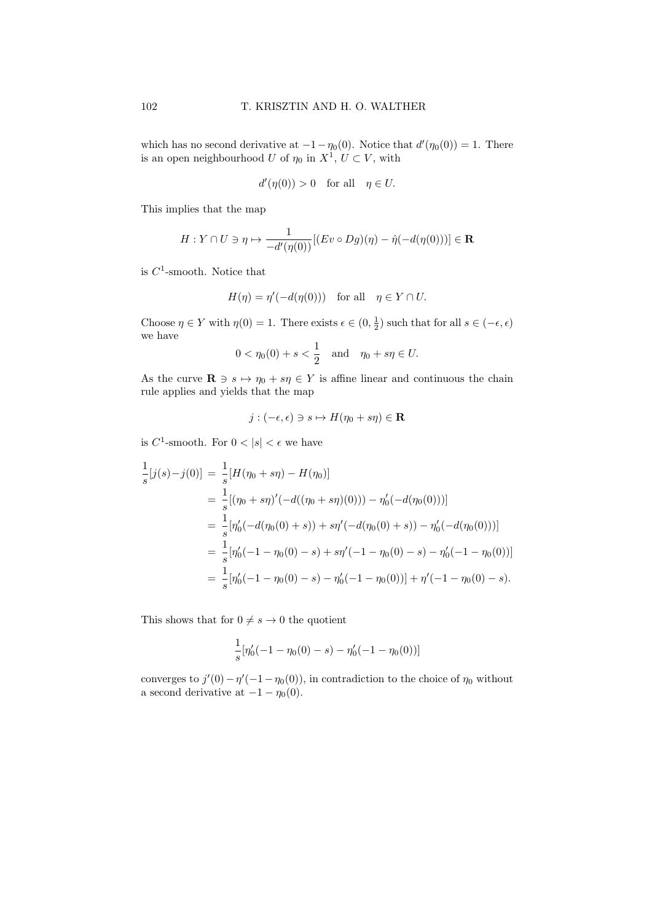which has no second derivative at  $-1-\eta_0(0)$ . Notice that  $d'(\eta_0(0)) = 1$ . There is an open neighbourhood U of  $\eta_0$  in  $X^1$ ,  $U \subset V$ , with

$$
d'(\eta(0)) > 0 \quad \text{for all} \quad \eta \in U.
$$

This implies that the map

$$
H: Y \cap U \ni \eta \mapsto \frac{1}{-d'(\eta(0))} [(Ev \circ Dg)(\eta) - \hat{\eta}(-d(\eta(0)))] \in \mathbf{R}
$$

is  $C^1$ -smooth. Notice that

$$
H(\eta) = \eta'(-d(\eta(0))) \text{ for all } \eta \in Y \cap U.
$$

Choose  $\eta \in Y$  with  $\eta(0) = 1$ . There exists  $\epsilon \in (0, \frac{1}{2})$  such that for all  $s \in (-\epsilon, \epsilon)$ we have

$$
0 < \eta_0(0) + s < \frac{1}{2}
$$
 and  $\eta_0 + s\eta \in U$ .

As the curve  $\mathbf{R} \ni s \mapsto \eta_0 + s\eta \in Y$  is affine linear and continuous the chain rule applies and yields that the map

$$
j: (-\epsilon, \epsilon) \ni s \mapsto H(\eta_0 + s\eta) \in \mathbf{R}
$$

is  $C^1$ -smooth. For  $0 < |s| < \epsilon$  we have

$$
\frac{1}{s}[j(s)-j(0)] = \frac{1}{s}[H(\eta_0 + s\eta) - H(\eta_0)]
$$
\n
$$
= \frac{1}{s}[(\eta_0 + s\eta)'(-d((\eta_0 + s\eta)(0))) - \eta_0'(-d(\eta_0(0)))]
$$
\n
$$
= \frac{1}{s}[\eta_0'(-d(\eta_0(0) + s)) + s\eta'(-d(\eta_0(0) + s)) - \eta_0'(-d(\eta_0(0)))]
$$
\n
$$
= \frac{1}{s}[\eta_0'(-1 - \eta_0(0) - s) + s\eta'(-1 - \eta_0(0) - s) - \eta_0'(-1 - \eta_0(0))]
$$
\n
$$
= \frac{1}{s}[\eta_0'(-1 - \eta_0(0) - s) - \eta_0'(-1 - \eta_0(0))] + \eta'(-1 - \eta_0(0) - s).
$$

This shows that for  $0 \neq s \rightarrow 0$  the quotient

$$
\frac{1}{s} [\eta_0'(-1 - \eta_0(0) - s) - \eta_0'(-1 - \eta_0(0))]
$$

converges to  $j'(0) - \eta'(-1 - \eta_0(0))$ , in contradiction to the choice of  $\eta_0$  without a second derivative at  $-1 - \eta_0(0)$ .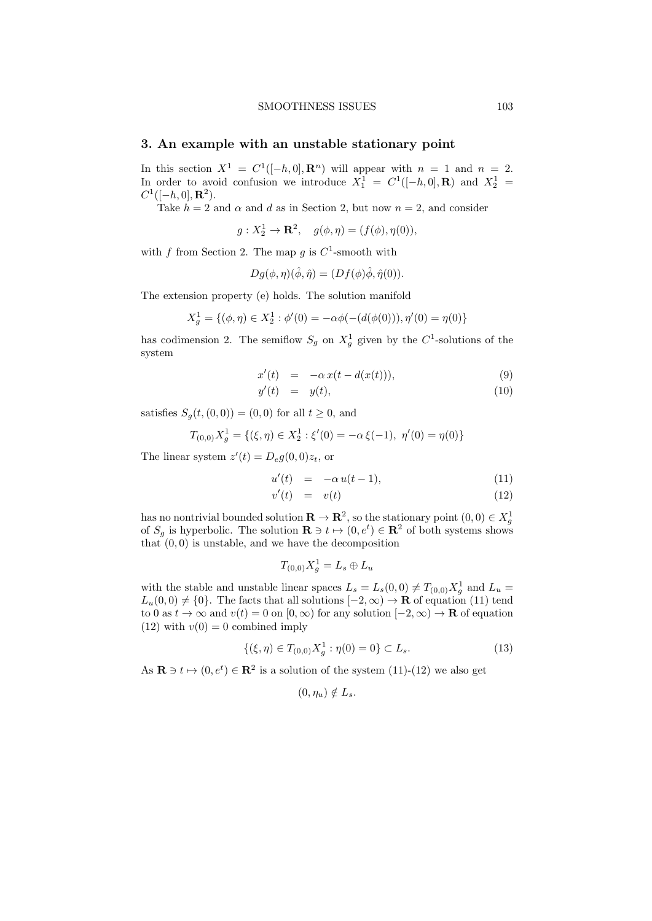#### SMOOTHNESS ISSUES 103

# 3. An example with an unstable stationary point

In this section  $X^1 = C^1([-h, 0], \mathbf{R}^n)$  will appear with  $n = 1$  and  $n = 2$ . In order to avoid confusion we introduce  $X_1^1 = C^1([-h, 0], \mathbf{R})$  and  $X_2^1 =$  $C^1([-h, 0], \mathbf{R}^2).$ 

Take  $h = 2$  and  $\alpha$  and d as in Section 2, but now  $n = 2$ , and consider

 $g: X_2^1 \to \mathbf{R}^2$ ,  $g(\phi, \eta) = (f(\phi), \eta(0)),$ 

with f from Section 2. The map g is  $C^1$ -smooth with

$$
Dg(\phi, \eta)(\hat{\phi}, \hat{\eta}) = (Df(\phi)\hat{\phi}, \hat{\eta}(0)).
$$

The extension property (e) holds. The solution manifold

$$
X_g^1 = \{ (\phi, \eta) \in X_2^1 : \phi'(0) = -\alpha \phi(-(d(\phi(0))), \eta'(0) = \eta(0) \}
$$

has codimension 2. The semiflow  $S_g$  on  $X_g^1$  given by the  $C^1$ -solutions of the system

$$
x'(t) = -\alpha x(t - d(x(t))), \qquad (9)
$$

$$
y'(t) = y(t), \tag{10}
$$

satisfies  $S_g(t,(0,0)) = (0,0)$  for all  $t \geq 0$ , and

$$
T_{(0,0)}X_g^1 = \{ (\xi, \eta) \in X_2^1 : \xi'(0) = -\alpha \xi(-1), \ \eta'(0) = \eta(0) \}
$$

The linear system  $z'(t) = D_e g(0,0)z_t$ , or

$$
u'(t) = -\alpha u(t-1), \qquad (11)
$$

$$
v'(t) = v(t) \tag{12}
$$

has no nontrivial bounded solution  $\mathbf{R} \to \mathbf{R}^2$ , so the stationary point  $(0,0) \in X_g^1$ of  $S_g$  is hyperbolic. The solution  $\mathbf{R} \ni t \mapsto (0, e^t) \in \mathbf{R}^2$  of both systems shows that  $(0, 0)$  is unstable, and we have the decomposition

$$
T_{(0,0)}X_g^1 = L_s \oplus L_u
$$

with the stable and unstable linear spaces  $L_s = L_s(0,0) \neq T_{(0,0)}X_g^1$  and  $L_u =$  $L_u(0,0) \neq \{0\}$ . The facts that all solutions  $[-2,\infty) \to \mathbf{R}$  of equation (11) tend to 0 as  $t \to \infty$  and  $v(t) = 0$  on  $[0, \infty)$  for any solution  $[-2, \infty) \to \mathbf{R}$  of equation  $(12)$  with  $v(0) = 0$  combined imply

$$
\{(\xi,\eta)\in T_{(0,0)}X_g^1:\eta(0)=0\}\subset L_s.
$$
\n(13)

As  $\mathbf{R} \ni t \mapsto (0, e^t) \in \mathbf{R}^2$  is a solution of the system  $(11)-(12)$  we also get

$$
(0,\eta_u)\notin L_s.
$$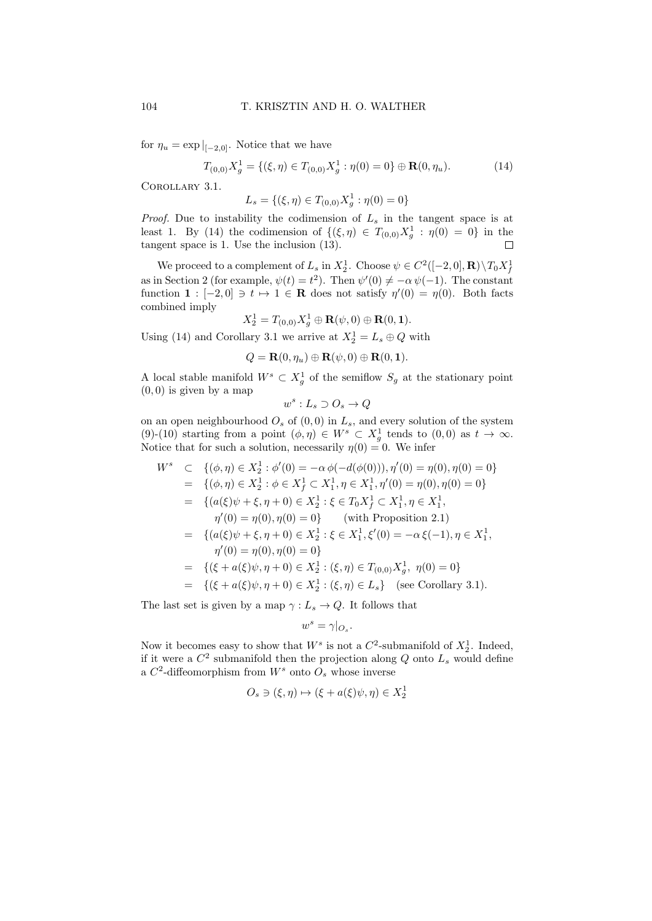for  $\eta_u = \exp|_{[-2,0]}$ . Notice that we have

$$
T_{(0,0)}X_g^1 = \{ (\xi, \eta) \in T_{(0,0)}X_g^1 : \eta(0) = 0 \} \oplus \mathbf{R}(0, \eta_u). \tag{14}
$$

Corollary 3.1.

$$
L_s = \{ (\xi, \eta) \in T_{(0,0)} X_g^1 : \eta(0) = 0 \}
$$

*Proof.* Due to instability the codimension of  $L_s$  in the tangent space is at least 1. By (14) the codimension of  $\{(\xi, \eta) \in T_{(0,0)}X_g^1 : \eta(0) = 0\}$  in the tangent space is 1. Use the inclusion (13).  $\Box$ 

We proceed to a complement of  $L_s$  in  $X_2^1$ . Choose  $\psi \in C^2([-2,0], \mathbf{R}) \setminus T_0 X_f^1$ as in Section 2 (for example,  $\psi(t) = t^2$ ). Then  $\psi'(0) \neq -\alpha \psi(-1)$ . The constant function  $\mathbf{1} : [-2,0] \ni t \mapsto 1 \in \mathbf{R}$  does not satisfy  $\eta'(0) = \eta(0)$ . Both facts combined imply

$$
X_2^1=T_{(0,0)}X_g^1\oplus \mathbf{R}(\psi,0)\oplus \mathbf{R}(0,1).
$$

Using (14) and Corollary 3.1 we arrive at  $X_2^1 = L_s \oplus Q$  with

$$
Q = \mathbf{R}(0, \eta_u) \oplus \mathbf{R}(\psi, 0) \oplus \mathbf{R}(0, 1).
$$

A local stable manifold  $W^s \subset X_g^1$  of the semiflow  $S_g$  at the stationary point  $\left(0,0\right)$  is given by a map

$$
w^s: L_s \supset O_s \to Q
$$

on an open neighbourhood  $O_s$  of  $(0, 0)$  in  $L_s$ , and every solution of the system (9)-(10) starting from a point  $(\phi, \eta) \in W^s \subset X_g^1$  tends to  $(0,0)$  as  $t \to \infty$ . Notice that for such a solution, necessarily  $\eta(0) = 0$ . We infer

$$
W^s \subset \{(\phi, \eta) \in X_2^1 : \phi'(0) = -\alpha \phi(-d(\phi(0))), \eta'(0) = \eta(0), \eta(0) = 0\}
$$
  
\n
$$
= \{(\phi, \eta) \in X_2^1 : \phi \in X_f^1 \subset X_1^1, \eta \in X_1^1, \eta'(0) = \eta(0), \eta(0) = 0\}
$$
  
\n
$$
= \{ (a(\xi)\psi + \xi, \eta + 0) \in X_2^1 : \xi \in T_0 X_f^1 \subset X_1^1, \eta \in X_1^1,
$$
  
\n
$$
\eta'(0) = \eta(0), \eta(0) = 0 \} \qquad \text{(with Proposition 2.1)}
$$
  
\n
$$
= \{ (a(\xi)\psi + \xi, \eta + 0) \in X_2^1 : \xi \in X_1^1, \xi'(0) = -\alpha \xi(-1), \eta \in X_1^1,
$$
  
\n
$$
\eta'(0) = \eta(0), \eta(0) = 0 \}
$$
  
\n
$$
= \{ (\xi + a(\xi)\psi, \eta + 0) \in X_2^1 : (\xi, \eta) \in T_{(0,0)} X_g^1, \eta(0) = 0 \}
$$
  
\n
$$
= \{ (\xi + a(\xi)\psi, \eta + 0) \in X_2^1 : (\xi, \eta) \in L_s \} \qquad \text{(see Corollary 3.1)}.
$$

The last set is given by a map  $\gamma: L_s \to Q$ . It follows that

$$
w^s=\gamma|_{O_s}.
$$

Now it becomes easy to show that  $W^s$  is not a  $C^2$ -submanifold of  $X_2^1$ . Indeed, if it were a  $C^2$  submanifold then the projection along Q onto  $L_s$  would define a  $C^2$ -diffeomorphism from  $W^s$  onto  $O_s$  whose inverse

$$
O_s \ni (\xi, \eta) \mapsto (\xi + a(\xi)\psi, \eta) \in X_2^1
$$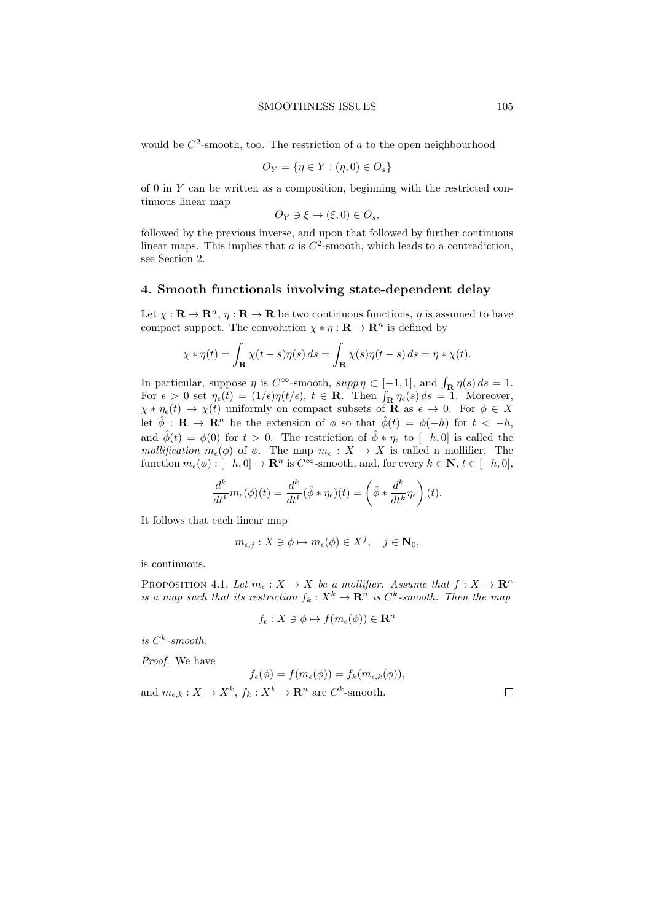would be  $C^2$ -smooth, too. The restriction of a to the open neighbourhood

$$
O_Y = \{ \eta \in Y : (\eta, 0) \in O_s \}
$$

of  $0$  in  $Y$  can be written as a composition, beginning with the restricted continuous linear map

$$
O_Y \ni \xi \mapsto (\xi, 0) \in O_s,
$$

followed by the previous inverse, and upon that followed by further continuous linear maps. This implies that  $a$  is  $C^2$ -smooth, which leads to a contradiction, see Section 2.

#### 4. Smooth functionals involving state-dependent delay

Let  $\chi : \mathbf{R} \to \mathbf{R}^n$ ,  $\eta : \mathbf{R} \to \mathbf{R}$  be two continuous functions,  $\eta$  is assumed to have compact support. The convolution  $\chi * \eta : \mathbf{R} \to \mathbf{R}^n$  is defined by

$$
\chi * \eta(t) = \int_{\mathbf{R}} \chi(t - s) \eta(s) ds = \int_{\mathbf{R}} \chi(s) \eta(t - s) ds = \eta * \chi(t).
$$

In particular, suppose  $\eta$  is  $C^{\infty}$ -smooth,  $supp \eta \subset [-1,1]$ , and  $\int_{\mathbf{R}} \eta(s) ds = 1$ . For  $\epsilon > 0$  set  $\eta_{\epsilon}(t) = (1/\epsilon)\eta(t/\epsilon)$ ,  $t \in \mathbf{R}$ . Then  $\int_{\mathbf{R}} \eta_{\epsilon}(s) ds = 1$ . Moreover,  $\chi * \eta_{\epsilon}(t) \to \chi(t)$  uniformly on compact subsets of **R** as  $\epsilon \to 0$ . For  $\phi \in X$ let  $\hat{\phi}$ :  $\mathbf{R} \to \mathbf{R}^n$  be the extension of  $\phi$  so that  $\hat{\phi}(t) = \phi(-h)$  for  $t < -h$ , and  $\hat{\phi}(t) = \phi(0)$  for  $t > 0$ . The restriction of  $\hat{\phi} * \eta_{\epsilon}$  to  $[-h, 0]$  is called the mollification  $m_{\epsilon}(\phi)$  of  $\phi$ . The map  $m_{\epsilon}: X \to X$  is called a mollifier. The function  $m_{\epsilon}(\phi): [-h, 0] \to \mathbf{R}^n$  is  $C^{\infty}$ -smooth, and, for every  $k \in \mathbf{N}, t \in [-h, 0],$ 

$$
\frac{d^k}{dt^k} m_\epsilon(\phi)(t) = \frac{d^k}{dt^k} (\hat{\phi}*\eta_\epsilon)(t) = \left(\hat{\phi}*\frac{d^k}{dt^k}\eta_\epsilon\right)(t).
$$

It follows that each linear map

$$
m_{\epsilon,j}: X \ni \phi \mapsto m_{\epsilon}(\phi) \in X^j, \quad j \in \mathbf{N}_0,
$$

is continuous.

PROPOSITION 4.1. Let  $m_{\epsilon}: X \to X$  be a mollifier. Assume that  $f: X \to \mathbb{R}^n$ is a map such that its restriction  $f_k : X^k \to \mathbf{R}^n$  is  $C^k$ -smooth. Then the map

$$
f_{\epsilon}: X \ni \phi \mapsto f(m_{\epsilon}(\phi)) \in \mathbf{R}^{n}
$$

is  $C^k$ -smooth.

Proof. We have

$$
f_{\epsilon}(\phi) = f(m_{\epsilon}(\phi)) = f_k(m_{\epsilon,k}(\phi)),
$$
  
and  $m_{\epsilon,k}: X \to X^k$ ,  $f_k: X^k \to \mathbf{R}^n$  are  $C^k$ -smooth.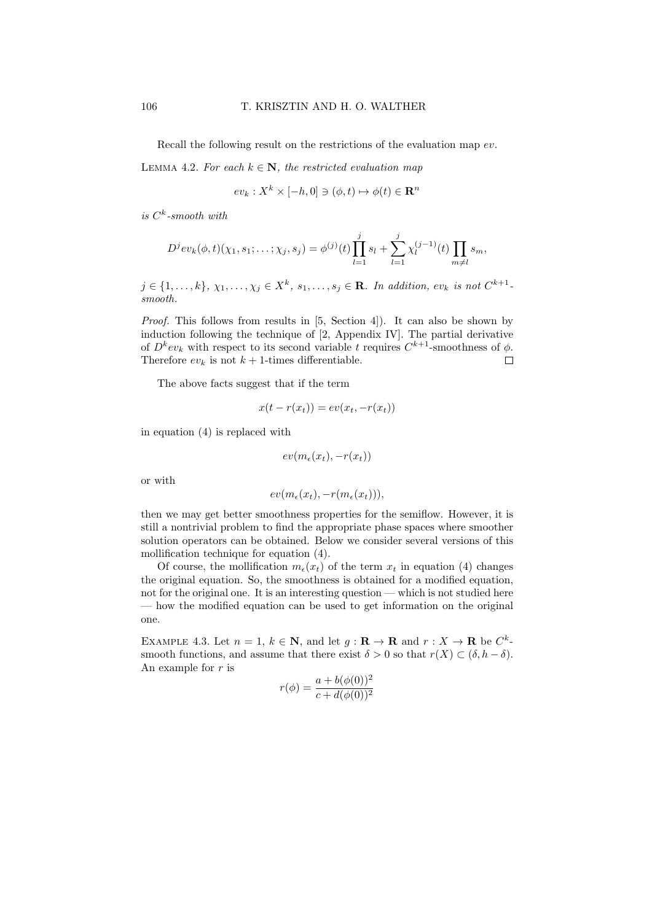Recall the following result on the restrictions of the evaluation map ev.

LEMMA 4.2. For each  $k \in \mathbb{N}$ , the restricted evaluation map

$$
ev_k: X^k \times [-h, 0] \ni (\phi, t) \mapsto \phi(t) \in \mathbf{R}^n
$$

is  $C^k$ -smooth with

$$
D^{j}ev_{k}(\phi,t)(\chi_{1},s_{1};\ldots;\chi_{j},s_{j})=\phi^{(j)}(t)\prod_{l=1}^{j}s_{l}+\sum_{l=1}^{j}\chi_{l}^{(j-1)}(t)\prod_{m\neq l}s_{m},
$$

 $j \in \{1, \ldots, k\}, \chi_1, \ldots, \chi_j \in X^k, s_1, \ldots, s_j \in \mathbf{R}$ . In addition,  $ev_k$  is not  $C^{k+1}$ . smooth.

Proof. This follows from results in [5, Section 4]). It can also be shown by induction following the technique of [2, Appendix IV]. The partial derivative of  $D^k ev_k$  with respect to its second variable t requires  $C^{k+1}$ -smoothness of  $\phi$ . Therefore  $ev_k$  is not  $k+1$ -times differentiable.  $\Box$ 

The above facts suggest that if the term

$$
x(t - r(x_t)) = ev(x_t, -r(x_t))
$$

in equation (4) is replaced with

$$
ev(m_{\epsilon}(x_t), -r(x_t))
$$

or with

$$
ev(m_{\epsilon}(x_t), -r(m_{\epsilon}(x_t))),
$$

then we may get better smoothness properties for the semiflow. However, it is still a nontrivial problem to find the appropriate phase spaces where smoother solution operators can be obtained. Below we consider several versions of this mollification technique for equation (4).

Of course, the mollification  $m_{\epsilon}(x_t)$  of the term  $x_t$  in equation (4) changes the original equation. So, the smoothness is obtained for a modified equation, not for the original one. It is an interesting question — which is not studied here — how the modified equation can be used to get information on the original one.

EXAMPLE 4.3. Let  $n = 1, k \in \mathbb{N}$ , and let  $g: \mathbb{R} \to \mathbb{R}$  and  $r: X \to \mathbb{R}$  be  $C^k$ smooth functions, and assume that there exist  $\delta > 0$  so that  $r(X) \subset (\delta, h - \delta)$ . An example for  $r$  is

$$
r(\phi) = \frac{a + b(\phi(0))^2}{c + d(\phi(0))^2}
$$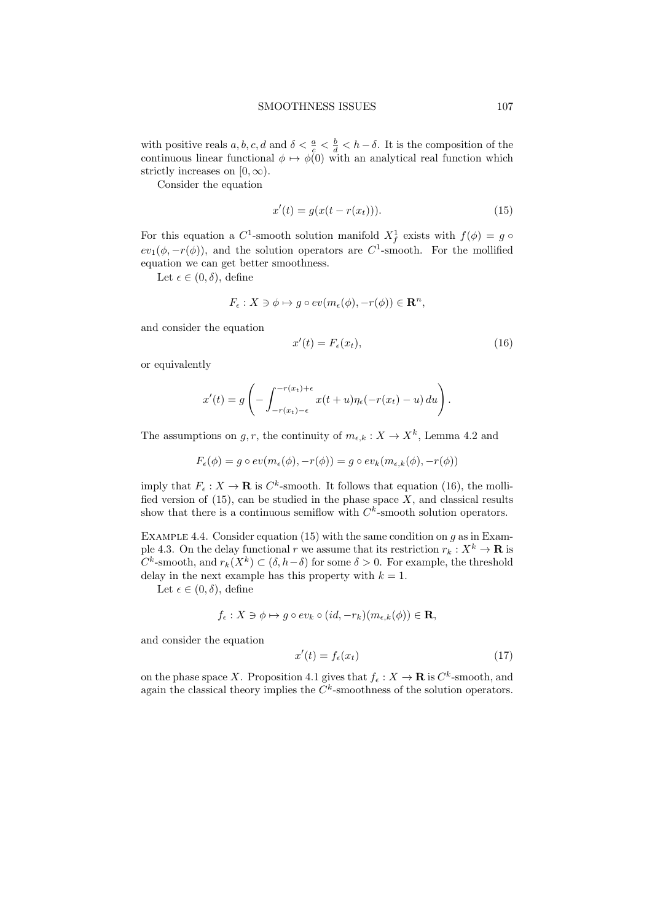with positive reals a, b, c, d and  $\delta < \frac{a}{c} < \frac{b}{d} < h - \delta$ . It is the composition of the continuous linear functional  $\phi \mapsto \phi(0)$  with an analytical real function which strictly increases on  $[0, \infty)$ .

Consider the equation

$$
x'(t) = g(x(t - r(x_t))).
$$
\n(15)

For this equation a  $C^1$ -smooth solution manifold  $X_f^1$  exists with  $f(\phi) = g \circ$  $ev_1(\phi, -r(\phi))$ , and the solution operators are C<sup>1</sup>-smooth. For the mollified equation we can get better smoothness.

Let  $\epsilon \in (0, \delta)$ , define

$$
F_{\epsilon}: X \ni \phi \mapsto g \circ ev(m_{\epsilon}(\phi), -r(\phi)) \in \mathbf{R}^{n},
$$

and consider the equation

$$
x'(t) = F_{\epsilon}(x_t),\tag{16}
$$

or equivalently

$$
x'(t) = g\left(-\int_{-r(x_t)-\epsilon}^{-r(x_t)+\epsilon} x(t+u)\eta_{\epsilon}(-r(x_t)-u) du\right).
$$

The assumptions on g, r, the continuity of  $m_{\epsilon,k}: X \to X^k$ , Lemma 4.2 and

$$
F_{\epsilon}(\phi) = g \circ ev(m_{\epsilon}(\phi), -r(\phi)) = g \circ ev_k(m_{\epsilon,k}(\phi), -r(\phi))
$$

imply that  $F_{\epsilon}: X \to \mathbf{R}$  is  $C^{k}$ -smooth. It follows that equation (16), the mollified version of (15), can be studied in the phase space  $\overline{X}$ , and classical results show that there is a continuous semiflow with  $C<sup>k</sup>$ -smooth solution operators.

EXAMPLE 4.4. Consider equation (15) with the same condition on  $q$  as in Example 4.3. On the delay functional r we assume that its restriction  $r_k : X^k \to \mathbf{R}$  is  $C^k$ -smooth, and  $r_k(X^k) \subset (\delta, h-\delta)$  for some  $\delta > 0$ . For example, the threshold delay in the next example has this property with  $k = 1$ .

Let  $\epsilon \in (0,\delta)$ , define

$$
f_{\epsilon}: X \ni \phi \mapsto g \circ ev_k \circ (id, -r_k)(m_{\epsilon,k}(\phi)) \in \mathbf{R},
$$

and consider the equation

$$
x'(t) = f_{\epsilon}(x_t) \tag{17}
$$

on the phase space X. Proposition 4.1 gives that  $f_{\epsilon}: X \to \mathbf{R}$  is  $C^{k}$ -smooth, and again the classical theory implies the  $C<sup>k</sup>$ -smoothness of the solution operators.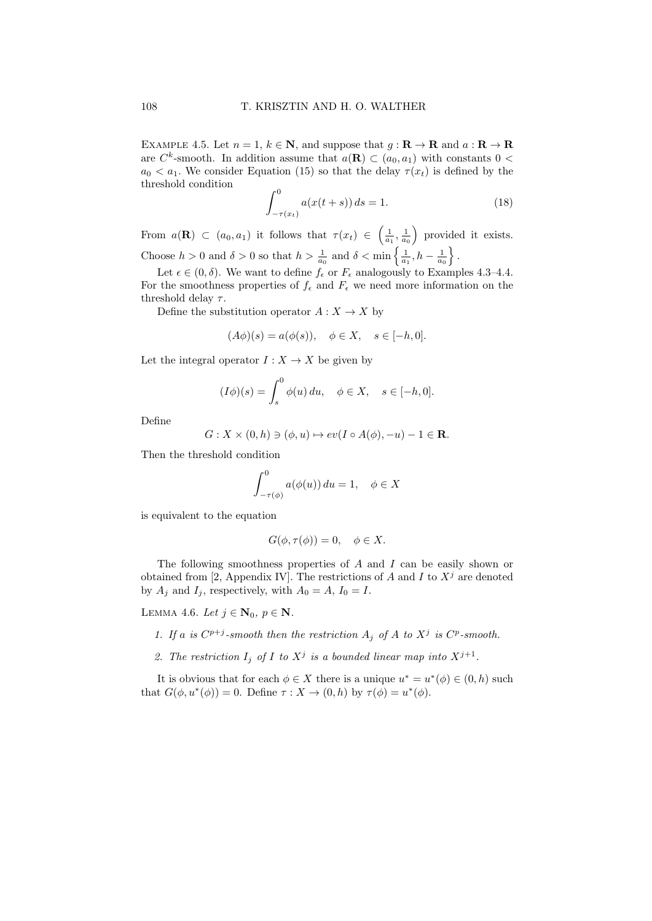EXAMPLE 4.5. Let  $n = 1, k \in \mathbb{N}$ , and suppose that  $g: \mathbb{R} \to \mathbb{R}$  and  $a: \mathbb{R} \to \mathbb{R}$ are  $C^k$ -smooth. In addition assume that  $a(\mathbf{R}) \subset (a_0, a_1)$  with constants  $0 <$  $a_0 < a_1$ . We consider Equation (15) so that the delay  $\tau(x_t)$  is defined by the threshold condition

$$
\int_{-\tau(x_t)}^0 a(x(t+s)) ds = 1.
$$
 (18)

From  $a(\mathbf{R}) \subset (a_0, a_1)$  it follows that  $\tau(x_t) \in \left(\frac{1}{a_1}, \frac{1}{a_0}\right)$  provided it exists. Choose  $h > 0$  and  $\delta > 0$  so that  $h > \frac{1}{a_0}$  and  $\delta < \min\left\{\frac{1}{a_1}, h - \frac{1}{a_0}\right\}$ .

Let  $\epsilon \in (0, \delta)$ . We want to define  $f_{\epsilon}$  or  $F_{\epsilon}$  analogously to Examples 4.3–4.4. For the smoothness properties of  $f_{\epsilon}$  and  $F_{\epsilon}$  we need more information on the threshold delay  $\tau$ .

Define the substitution operator  $A: X \to X$  by

$$
(A\phi)(s) = a(\phi(s)), \quad \phi \in X, \quad s \in [-h, 0].
$$

Let the integral operator  $I: X \to X$  be given by

$$
(I\phi)(s) = \int_s^0 \phi(u) du, \quad \phi \in X, \quad s \in [-h, 0].
$$

Define

$$
G: X \times (0, h) \ni (\phi, u) \mapsto ev(I \circ A(\phi), -u) - 1 \in \mathbf{R}.
$$

Then the threshold condition

$$
\int_{-\tau(\phi)}^{0} a(\phi(u)) du = 1, \quad \phi \in X
$$

is equivalent to the equation

$$
G(\phi, \tau(\phi)) = 0, \quad \phi \in X.
$$

The following smoothness properties of A and I can be easily shown or obtained from [2, Appendix IV]. The restrictions of A and I to  $X^j$  are denoted by  $A_j$  and  $I_j$ , respectively, with  $A_0 = A$ ,  $I_0 = I$ .

LEMMA 4.6. Let  $j \in \mathbf{N}_0, p \in \mathbf{N}$ .

1. If a is  $C^{p+j}$ -smooth then the restriction  $A_j$  of A to  $X^j$  is  $C^p$ -smooth.

2. The restriction  $I_j$  of I to  $X^j$  is a bounded linear map into  $X^{j+1}$ .

It is obvious that for each  $\phi \in X$  there is a unique  $u^* = u^*(\phi) \in (0, h)$  such that  $G(\phi, u^*(\phi)) = 0$ . Define  $\tau : X \to (0, h)$  by  $\tau(\phi) = u^*(\phi)$ .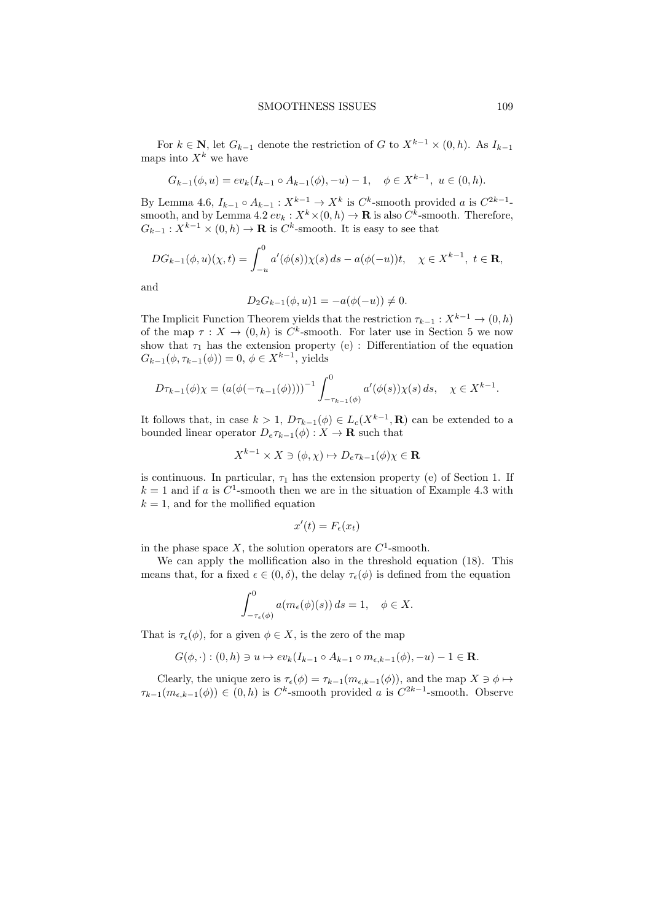For  $k \in \mathbb{N}$ , let  $G_{k-1}$  denote the restriction of G to  $X^{k-1} \times (0, h)$ . As  $I_{k-1}$ maps into  $X^k$  we have

$$
G_{k-1}(\phi, u) = ev_k(I_{k-1} \circ A_{k-1}(\phi), -u) - 1, \quad \phi \in X^{k-1}, \ u \in (0, h).
$$

By Lemma 4.6,  $I_{k-1} \circ A_{k-1} : X^{k-1} \to X^k$  is  $C^k$ -smooth provided a is  $C^{2k-1}$ smooth, and by Lemma 4.2  $ev_k : X^k \times (0, h) \to \mathbf{R}$  is also  $C^k$ -smooth. Therefore,  $G_{k-1}: X^{k-1} \times (0, h) \to \mathbf{R}$  is  $C^k$ -smooth. It is easy to see that

$$
DG_{k-1}(\phi, u)(\chi, t) = \int_{-u}^{0} a'(\phi(s))\chi(s) ds - a(\phi(-u))t, \quad \chi \in X^{k-1}, \ t \in \mathbf{R},
$$

and

$$
D_2 G_{k-1}(\phi, u)1 = -a(\phi(-u)) \neq 0.
$$

The Implicit Function Theorem yields that the restriction  $\tau_{k-1}: X^{k-1} \to (0, h)$ of the map  $\tau : X \to (0, h)$  is  $C^k$ -smooth. For later use in Section 5 we now show that  $\tau_1$  has the extension property (e) : Differentiation of the equation  $G_{k-1}(\phi, \tau_{k-1}(\phi)) = 0, \, \phi \in X^{k-1}$ , yields

$$
D\tau_{k-1}(\phi)\chi = \left(a(\phi(-\tau_{k-1}(\phi))))^{-1} \int_{-\tau_{k-1}(\phi)}^0 a'(\phi(s))\chi(s)\,ds, \quad \chi \in X^{k-1}.
$$

It follows that, in case  $k > 1$ ,  $D\tau_{k-1}(\phi) \in L_c(X^{k-1}, \mathbf{R})$  can be extended to a bounded linear operator  $D_e \tau_{k-1}(\phi) : X \to \mathbf{R}$  such that

$$
X^{k-1} \times X \ni (\phi, \chi) \mapsto D_e \tau_{k-1}(\phi) \chi \in \mathbf{R}
$$

is continuous. In particular,  $\tau_1$  has the extension property (e) of Section 1. If  $k = 1$  and if a is C<sup>1</sup>-smooth then we are in the situation of Example 4.3 with  $k = 1$ , and for the mollified equation

$$
x'(t) = F_{\epsilon}(x_t)
$$

in the phase space X, the solution operators are  $C^1$ -smooth.

We can apply the mollification also in the threshold equation (18). This means that, for a fixed  $\epsilon \in (0, \delta)$ , the delay  $\tau_{\epsilon}(\phi)$  is defined from the equation

$$
\int_{-\tau_{\epsilon}(\phi)}^0 a(m_{\epsilon}(\phi)(s)) ds = 1, \quad \phi \in X.
$$

That is  $\tau_{\epsilon}(\phi)$ , for a given  $\phi \in X$ , is the zero of the map

$$
G(\phi, \cdot) : (0, h) \ni u \mapsto ev_k(I_{k-1} \circ A_{k-1} \circ m_{\epsilon, k-1}(\phi), -u) - 1 \in \mathbf{R}.
$$

Clearly, the unique zero is  $\tau_{\epsilon}(\phi) = \tau_{k-1}(m_{\epsilon,k-1}(\phi))$ , and the map  $X \ni \phi \mapsto$  $\tau_{k-1}(m_{\epsilon,k-1}(\phi)) \in (0,h)$  is  $C^k$ -smooth provided a is  $C^{2k-1}$ -smooth. Observe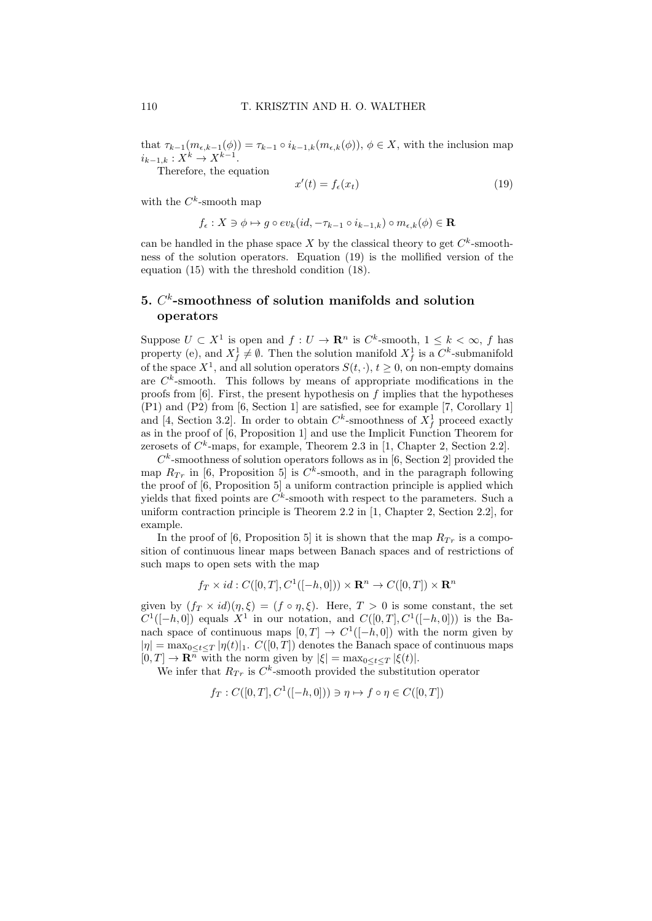that  $\tau_{k-1}(m_{\epsilon,k-1}(\phi)) = \tau_{k-1} \circ i_{k-1,k}(m_{\epsilon,k}(\phi)), \phi \in X$ , with the inclusion map  $i_{k-1,k}: X^k \to X^{k-1}.$ 

Therefore, the equation

$$
x'(t) = f_{\epsilon}(x_t) \tag{19}
$$

with the  $C^k$ -smooth map

$$
f_{\epsilon}: X \ni \phi \mapsto g \circ ev_k(id, -\tau_{k-1} \circ i_{k-1,k}) \circ m_{\epsilon,k}(\phi) \in \mathbf{R}
$$

can be handled in the phase space X by the classical theory to get  $C<sup>k</sup>$ -smoothness of the solution operators. Equation (19) is the mollified version of the equation (15) with the threshold condition (18).

# 5.  $C<sup>k</sup>$ -smoothness of solution manifolds and solution operators

Suppose  $U \subset X^1$  is open and  $f: U \to \mathbf{R}^n$  is  $C^k$ -smooth,  $1 \leq k < \infty$ , f has property (e), and  $X_f^1 \neq \emptyset$ . Then the solution manifold  $X_f^1$  is a  $C^k$ -submanifold of the space  $X^1$ , and all solution operators  $S(t, \cdot), t \geq 0$ , on non-empty domains are  $C<sup>k</sup>$ -smooth. This follows by means of appropriate modifications in the proofs from  $[6]$ . First, the present hypothesis on f implies that the hypotheses (P1) and (P2) from [6, Section 1] are satisfied, see for example [7, Corollary 1] and [4, Section 3.2]. In order to obtain  $C<sup>k</sup>$ -smoothness of  $X<sup>1</sup><sub>f</sub>$  proceed exactly as in the proof of [6, Proposition 1] and use the Implicit Function Theorem for zerosets of  $C^k$ -maps, for example, Theorem 2.3 in [1, Chapter 2, Section 2.2].

 $C<sup>k</sup>$ -smoothness of solution operators follows as in [6, Section 2] provided the map  $R_{Tr}$  in [6, Proposition 5] is  $C<sup>k</sup>$ -smooth, and in the paragraph following the proof of [6, Proposition 5] a uniform contraction principle is applied which yields that fixed points are  $C^k$ -smooth with respect to the parameters. Such a uniform contraction principle is Theorem 2.2 in [1, Chapter 2, Section 2.2], for example.

In the proof of [6, Proposition 5] it is shown that the map  $R_{Tr}$  is a composition of continuous linear maps between Banach spaces and of restrictions of such maps to open sets with the map

$$
f_T \times id : C([0,T], C^1([-h,0])) \times \mathbb{R}^n \to C([0,T]) \times \mathbb{R}^n
$$

given by  $(f_T \times id)(\eta, \xi) = (f \circ \eta, \xi)$ . Here,  $T > 0$  is some constant, the set  $C^1([-h, 0])$  equals  $X^1$  in our notation, and  $C([0, T], C^1([-h, 0]))$  is the Banach space of continuous maps  $[0, T] \rightarrow C^1([-h, 0])$  with the norm given by  $|\eta| = \max_{0 \leq t \leq T} |\eta(t)|_1$ .  $C([0, T])$  denotes the Banach space of continuous maps  $[0, T] \to \mathbf{R}^n$  with the norm given by  $|\xi| = \max_{0 \le t \le T} |\xi(t)|$ .

We infer that  $R_{Tr}$  is  $C<sup>k</sup>$ -smooth provided the substitution operator

$$
f_T: C([0, T], C^1([-h, 0])) \ni \eta \mapsto f \circ \eta \in C([0, T])
$$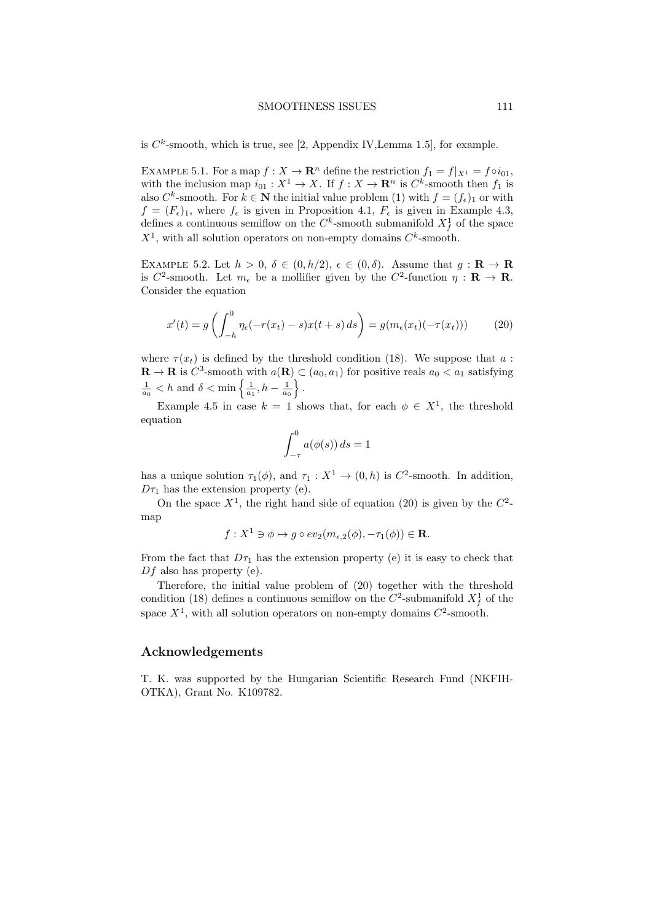#### SMOOTHNESS ISSUES 111

is  $C^k$ -smooth, which is true, see [2, Appendix IV, Lemma 1.5], for example.

EXAMPLE 5.1. For a map  $f: X \to \mathbf{R}^n$  define the restriction  $f_1 = f|_{X^1} = f \circ i_{01}$ , with the inclusion map  $i_{01}: X^1 \to X$ . If  $f: X \to \mathbf{R}^n$  is  $C^k$ -smooth then  $f_1$  is also  $C^k$ -smooth. For  $k \in \mathbb{N}$  the initial value problem (1) with  $f = (f_{\epsilon})_1$  or with  $f = (F_{\epsilon})_1$ , where  $f_{\epsilon}$  is given in Proposition 4.1,  $F_{\epsilon}$  is given in Example 4.3, defines a continuous semiflow on the  $C<sup>k</sup>$ -smooth submanifold  $X<sup>1</sup><sub>f</sub>$  of the space  $X^1$ , with all solution operators on non-empty domains  $C^k$ -smooth.

EXAMPLE 5.2. Let  $h > 0$ ,  $\delta \in (0, h/2)$ ,  $\epsilon \in (0, \delta)$ . Assume that  $g: \mathbf{R} \to \mathbf{R}$ is  $C^2$ -smooth. Let  $m_{\epsilon}$  be a mollifier given by the  $C^2$ -function  $\eta : \mathbf{R} \to \mathbf{R}$ . Consider the equation

$$
x'(t) = g\left(\int_{-h}^{0} \eta_{\epsilon}(-r(x_t) - s)x(t + s) ds\right) = g(m_{\epsilon}(x_t)(-\tau(x_t)))\tag{20}
$$

where  $\tau(x_t)$  is defined by the threshold condition (18). We suppose that a:  $\mathbf{R} \to \mathbf{R}$  is  $C^3$ -smooth with  $a(\mathbf{R}) \subset (a_0, a_1)$  for positive reals  $a_0 < a_1$  satisfying  $\frac{1}{a_0} < h$  and  $\delta < \min \left\{ \frac{1}{a_1}, h - \frac{1}{a_0} \right\}.$ 

Example 4.5 in case  $k = 1$  shows that, for each  $\phi \in X^1$ , the threshold equation

$$
\int_{-\tau}^{0} a(\phi(s)) ds = 1
$$

has a unique solution  $\tau_1(\phi)$ , and  $\tau_1 : X^1 \to (0,h)$  is  $C^2$ -smooth. In addition,  $D\tau_1$  has the extension property (e).

On the space  $X^1$ , the right hand side of equation (20) is given by the  $C^2$ map

$$
f: X^1 \ni \phi \mapsto g \circ ev_2(m_{\epsilon,2}(\phi), -\tau_1(\phi)) \in \mathbf{R}.
$$

From the fact that  $D\tau_1$  has the extension property (e) it is easy to check that  $Df$  also has property (e).

Therefore, the initial value problem of (20) together with the threshold condition (18) defines a continuous semiflow on the  $C^2$ -submanifold  $X_f^1$  of the space  $X^1$ , with all solution operators on non-empty domains  $C^2$ -smooth.

# Acknowledgements

T. K. was supported by the Hungarian Scientific Research Fund (NKFIH-OTKA), Grant No. K109782.